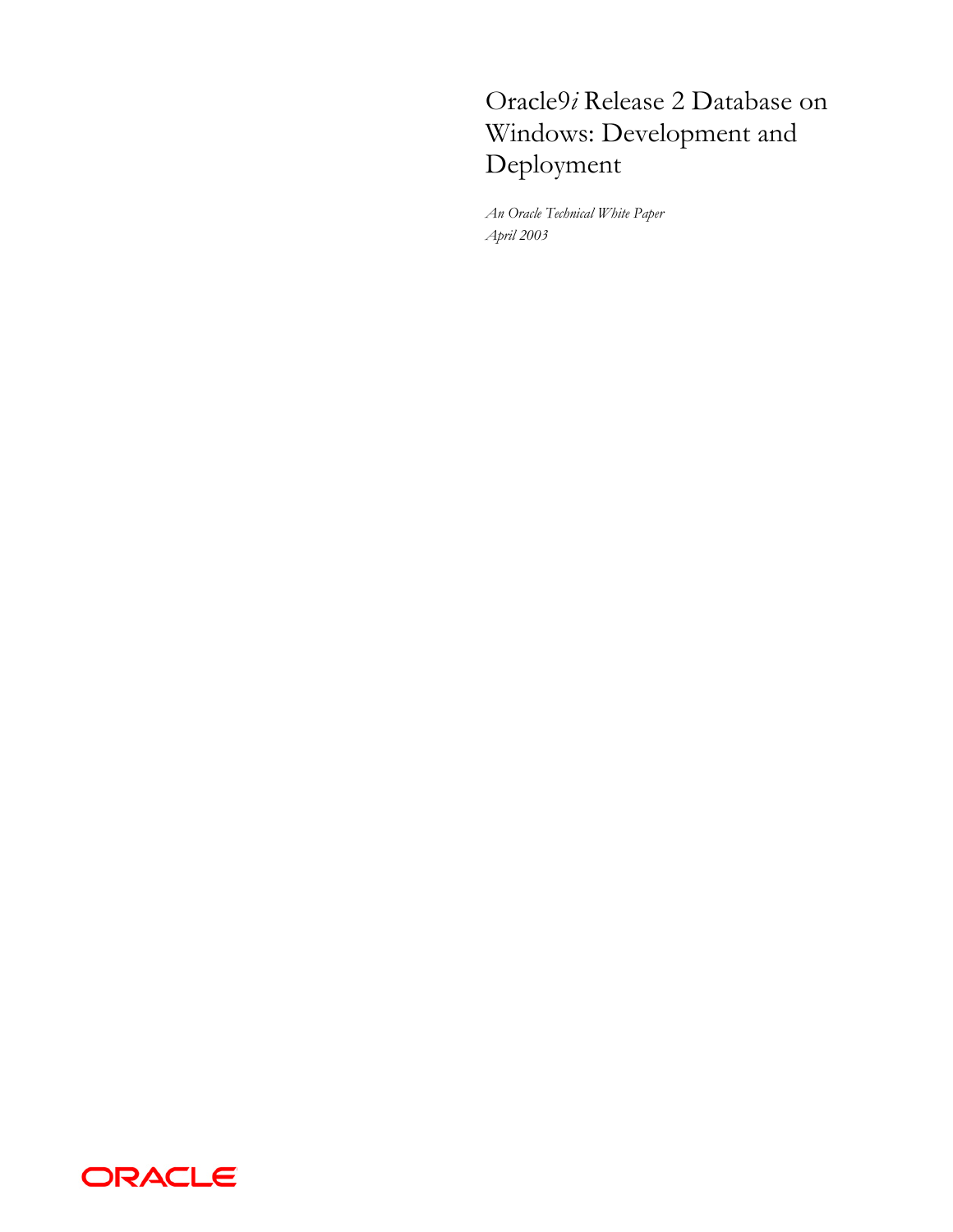# Oracle9*i* Release 2 Database on Windows: Development and Deployment

*An Oracle Technical White Paper April 2003* 

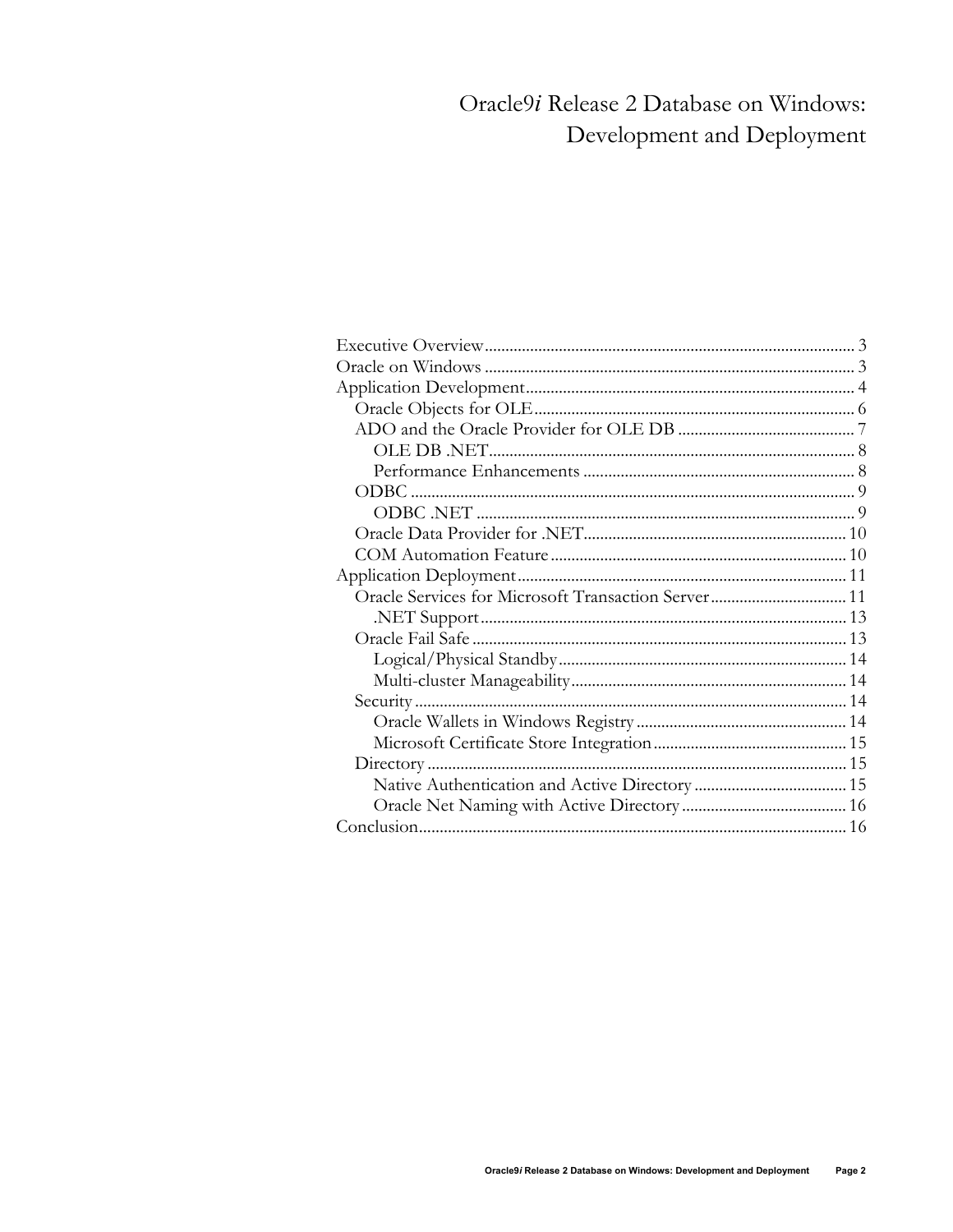## Oracle9i Release 2 Database on Windows: Development and Deployment

| Oracle Services for Microsoft Transaction Server 11 |  |
|-----------------------------------------------------|--|
|                                                     |  |
|                                                     |  |
|                                                     |  |
|                                                     |  |
|                                                     |  |
|                                                     |  |
|                                                     |  |
|                                                     |  |
|                                                     |  |
|                                                     |  |
|                                                     |  |
|                                                     |  |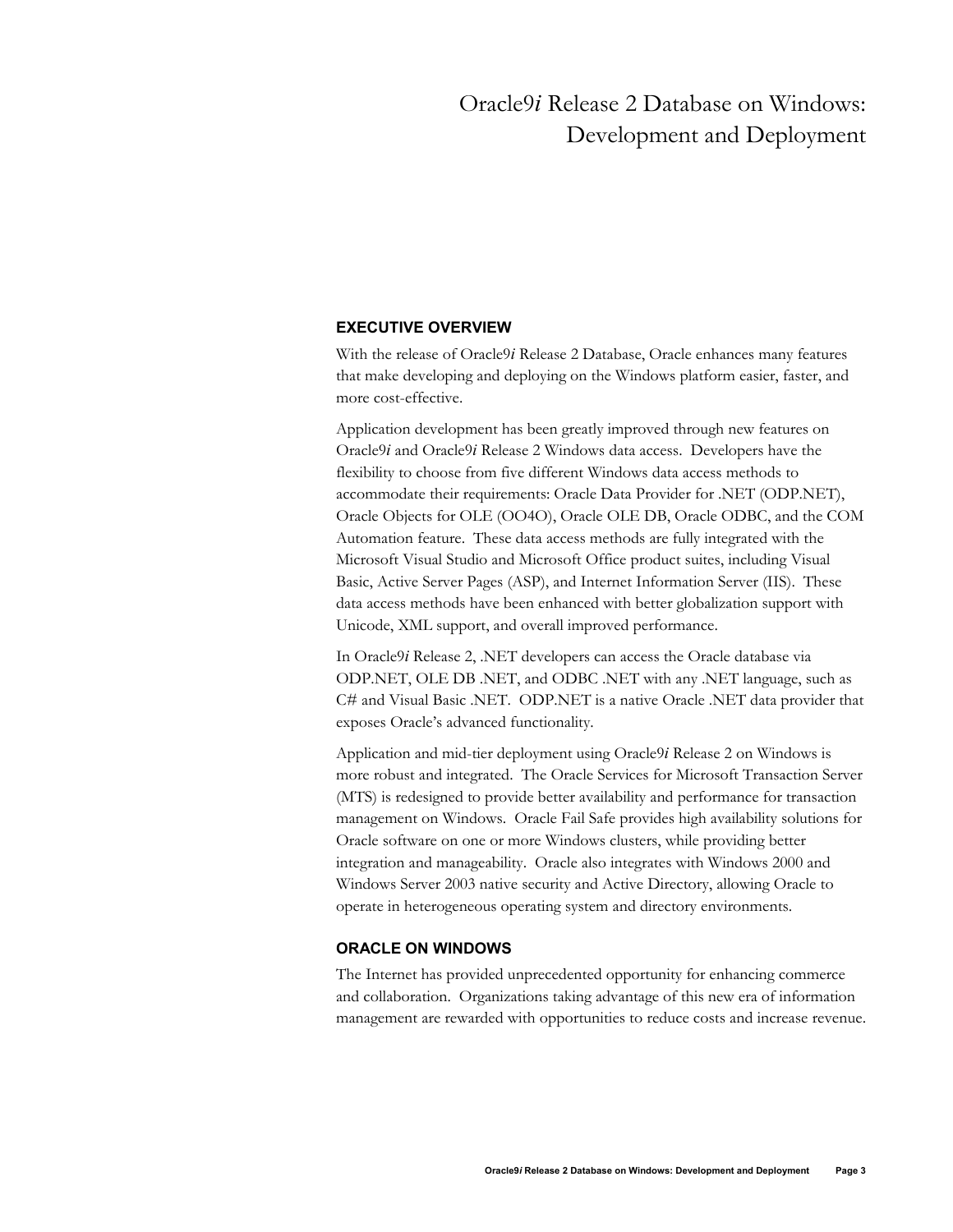## Oracle9*i* Release 2 Database on Windows: Development and Deployment

## <span id="page-2-0"></span>**EXECUTIVE OVERVIEW**

With the release of Oracle9*i* Release 2 Database, Oracle enhances many features that make developing and deploying on the Windows platform easier, faster, and more cost-effective.

Application development has been greatly improved through new features on Oracle9*i* and Oracle9*i* Release 2 Windows data access. Developers have the flexibility to choose from five different Windows data access methods to accommodate their requirements: Oracle Data Provider for .NET (ODP.NET), Oracle Objects for OLE (OO4O), Oracle OLE DB, Oracle ODBC, and the COM Automation feature. These data access methods are fully integrated with the Microsoft Visual Studio and Microsoft Office product suites, including Visual Basic, Active Server Pages (ASP), and Internet Information Server (IIS). These data access methods have been enhanced with better globalization support with Unicode, XML support, and overall improved performance.

In Oracle9*i* Release 2, .NET developers can access the Oracle database via ODP.NET, OLE DB .NET, and ODBC .NET with any .NET language, such as C# and Visual Basic .NET. ODP.NET is a native Oracle .NET data provider that exposes Oracle's advanced functionality.

Application and mid-tier deployment using Oracle9*i* Release 2 on Windows is more robust and integrated. The Oracle Services for Microsoft Transaction Server (MTS) is redesigned to provide better availability and performance for transaction management on Windows. Oracle Fail Safe provides high availability solutions for Oracle software on one or more Windows clusters, while providing better integration and manageability. Oracle also integrates with Windows 2000 and Windows Server 2003 native security and Active Directory, allowing Oracle to operate in heterogeneous operating system and directory environments.

## **ORACLE ON WINDOWS**

The Internet has provided unprecedented opportunity for enhancing commerce and collaboration. Organizations taking advantage of this new era of information management are rewarded with opportunities to reduce costs and increase revenue.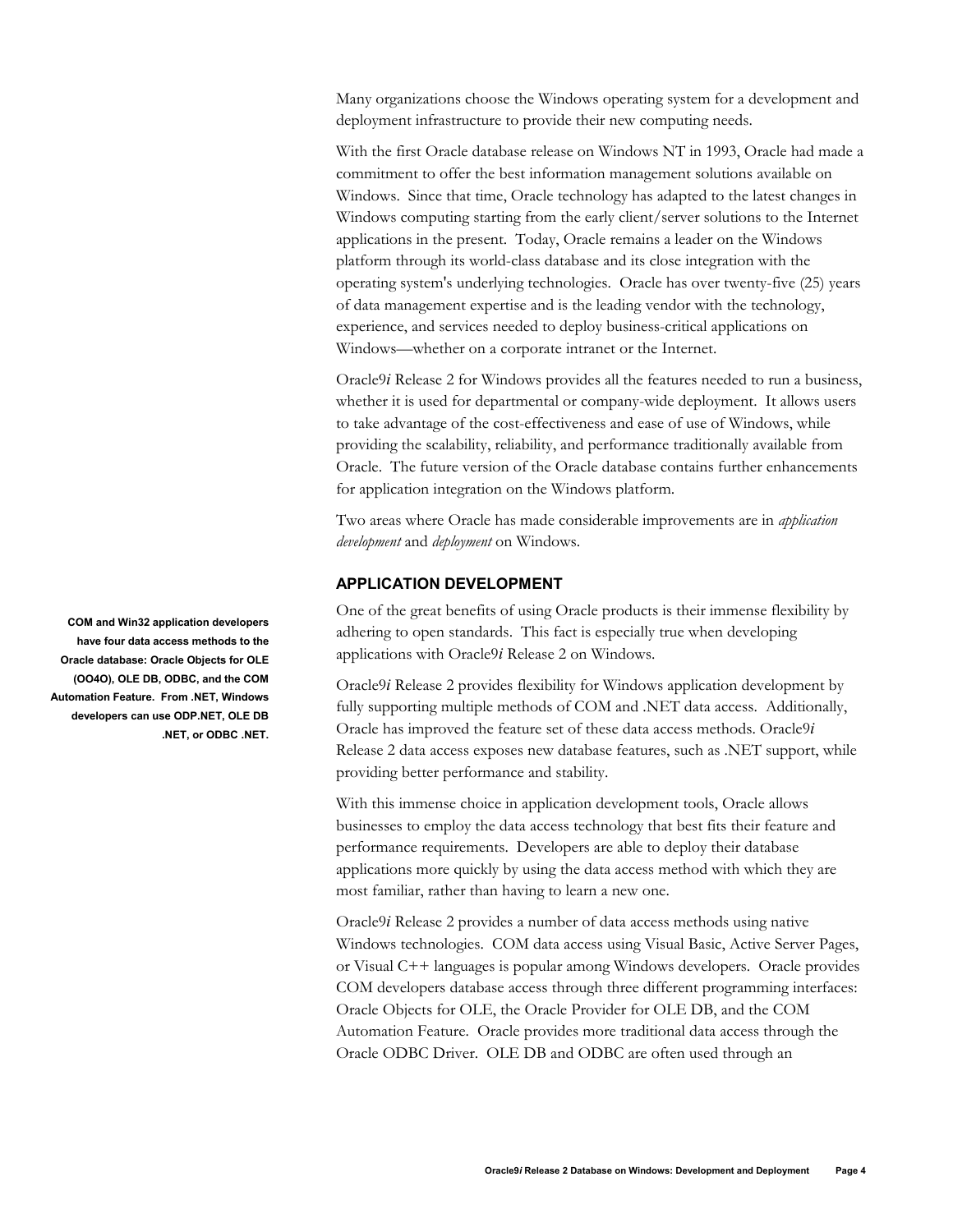<span id="page-3-0"></span>Many organizations choose the Windows operating system for a development and deployment infrastructure to provide their new computing needs.

With the first Oracle database release on Windows NT in 1993, Oracle had made a commitment to offer the best information management solutions available on Windows. Since that time, Oracle technology has adapted to the latest changes in Windows computing starting from the early client/server solutions to the Internet applications in the present. Today, Oracle remains a leader on the Windows platform through its world-class database and its close integration with the operating system's underlying technologies. Oracle has over twenty-five (25) years of data management expertise and is the leading vendor with the technology, experience, and services needed to deploy business-critical applications on Windows—whether on a corporate intranet or the Internet.

Oracle9*i* Release 2 for Windows provides all the features needed to run a business, whether it is used for departmental or company-wide deployment. It allows users to take advantage of the cost-effectiveness and ease of use of Windows, while providing the scalability, reliability, and performance traditionally available from Oracle. The future version of the Oracle database contains further enhancements for application integration on the Windows platform.

Two areas where Oracle has made considerable improvements are in *application development* and *deployment* on Windows.

## **APPLICATION DEVELOPMENT**

One of the great benefits of using Oracle products is their immense flexibility by adhering to open standards. This fact is especially true when developing applications with Oracle9*i* Release 2 on Windows.

Oracle9*i* Release 2 provides flexibility for Windows application development by fully supporting multiple methods of COM and .NET data access. Additionally, Oracle has improved the feature set of these data access methods. Oracle9*i* Release 2 data access exposes new database features, such as .NET support, while providing better performance and stability.

With this immense choice in application development tools, Oracle allows businesses to employ the data access technology that best fits their feature and performance requirements. Developers are able to deploy their database applications more quickly by using the data access method with which they are most familiar, rather than having to learn a new one.

Oracle9*i* Release 2 provides a number of data access methods using native Windows technologies. COM data access using Visual Basic, Active Server Pages, or Visual C++ languages is popular among Windows developers. Oracle provides COM developers database access through three different programming interfaces: Oracle Objects for OLE, the Oracle Provider for OLE DB, and the COM Automation Feature. Oracle provides more traditional data access through the Oracle ODBC Driver. OLE DB and ODBC are often used through an

**COM and Win32 application developers have four data access methods to the Oracle database: Oracle Objects for OLE (OO4O), OLE DB, ODBC, and the COM Automation Feature. From .NET, Windows developers can use ODP.NET, OLE DB .NET, or ODBC .NET.**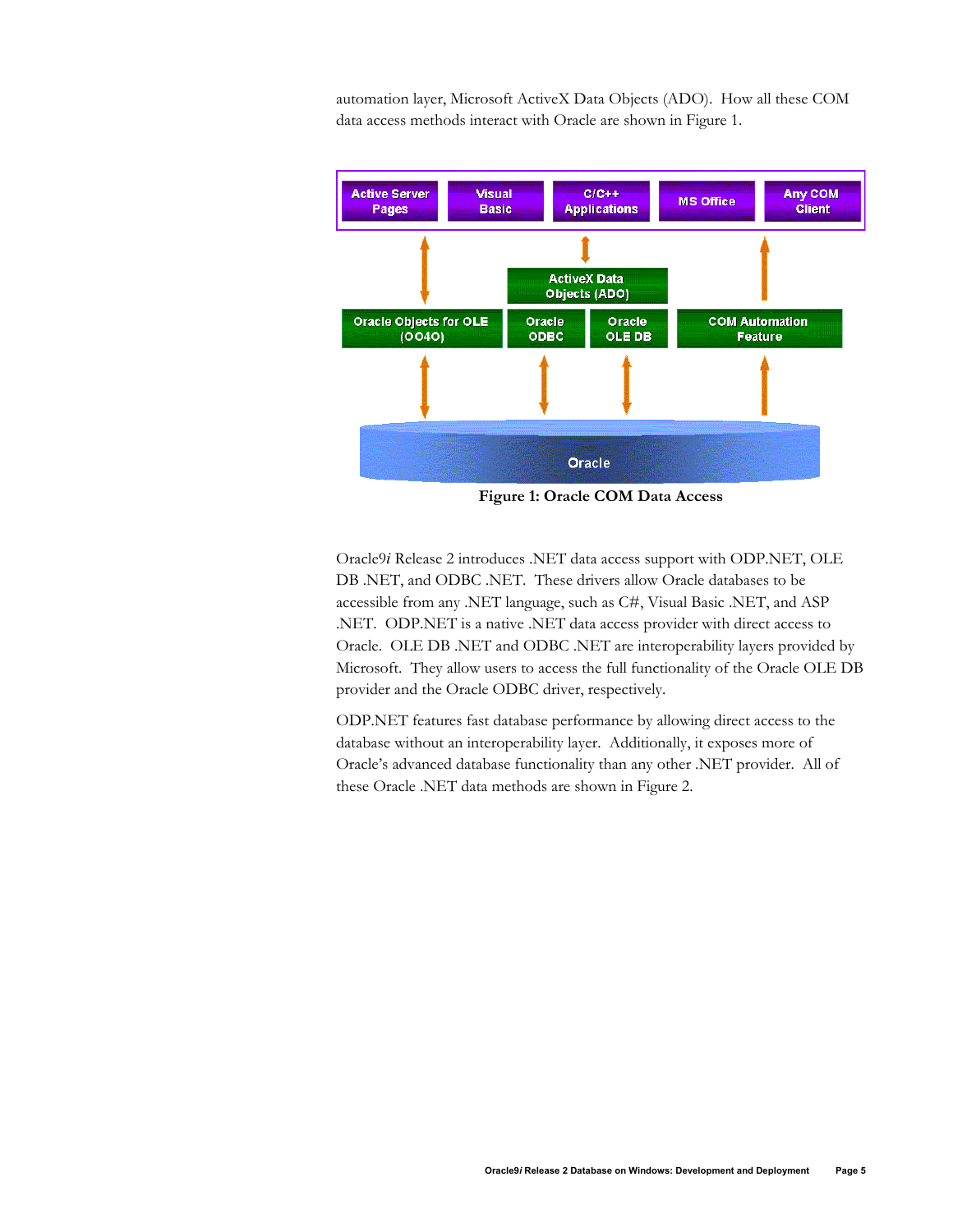automation layer, Microsoft ActiveX Data Objects (ADO). How all these COM data access methods interact with Oracle are shown in Figure 1.



**Figure 1: Oracle COM Data Access**

Oracle9*i* Release 2 introduces .NET data access support with ODP.NET, OLE DB .NET, and ODBC .NET. These drivers allow Oracle databases to be accessible from any .NET language, such as C#, Visual Basic .NET, and ASP .NET. ODP.NET is a native .NET data access provider with direct access to Oracle. OLE DB .NET and ODBC .NET are interoperability layers provided by Microsoft. They allow users to access the full functionality of the Oracle OLE DB provider and the Oracle ODBC driver, respectively.

ODP.NET features fast database performance by allowing direct access to the database without an interoperability layer. Additionally, it exposes more of Oracle's advanced database functionality than any other .NET provider. All of these Oracle .NET data methods are shown in Figure 2.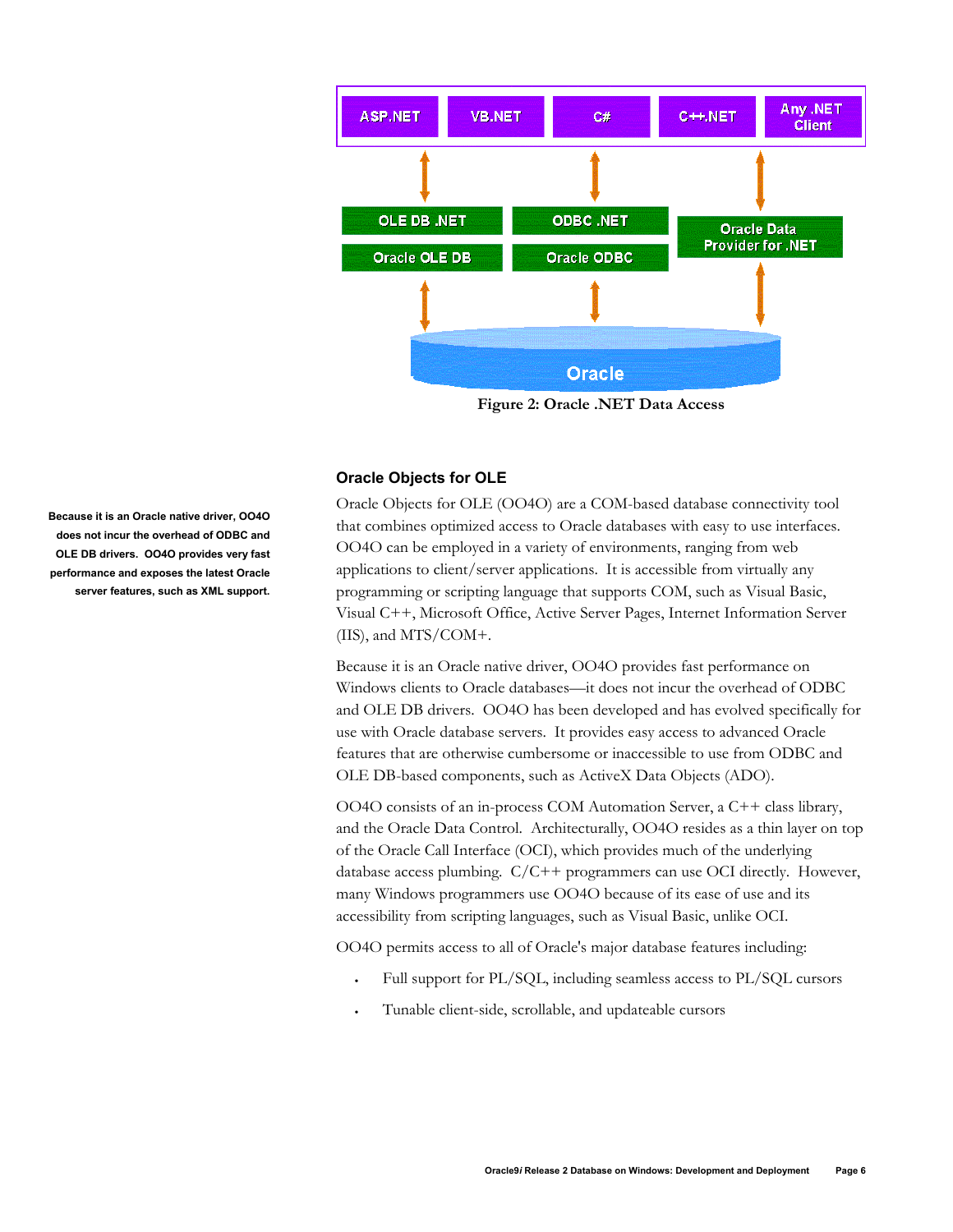<span id="page-5-0"></span>

**Figure 2: Oracle .NET Data Access** 

## **Oracle Objects for OLE**

Oracle Objects for OLE (OO4O) are a COM-based database connectivity tool that combines optimized access to Oracle databases with easy to use interfaces. OO4O can be employed in a variety of environments, ranging from web applications to client/server applications. It is accessible from virtually any programming or scripting language that supports COM, such as Visual Basic, Visual C++, Microsoft Office, Active Server Pages, Internet Information Server (IIS), and MTS/COM+.

Because it is an Oracle native driver, OO4O provides fast performance on Windows clients to Oracle databases—it does not incur the overhead of ODBC and OLE DB drivers. OO4O has been developed and has evolved specifically for use with Oracle database servers. It provides easy access to advanced Oracle features that are otherwise cumbersome or inaccessible to use from ODBC and OLE DB-based components, such as ActiveX Data Objects (ADO).

OO4O consists of an in-process COM Automation Server, a C++ class library, and the Oracle Data Control. Architecturally, OO4O resides as a thin layer on top of the Oracle Call Interface (OCI), which provides much of the underlying database access plumbing. C/C++ programmers can use OCI directly. However, many Windows programmers use OO4O because of its ease of use and its accessibility from scripting languages, such as Visual Basic, unlike OCI.

OO4O permits access to all of Oracle's major database features including:

- Full support for PL/SQL, including seamless access to PL/SQL cursors
- Tunable client-side, scrollable, and updateable cursors

**Because it is an Oracle native driver, OO4O does not incur the overhead of ODBC and OLE DB drivers. OO4O provides very fast performance and exposes the latest Oracle server features, such as XML support.**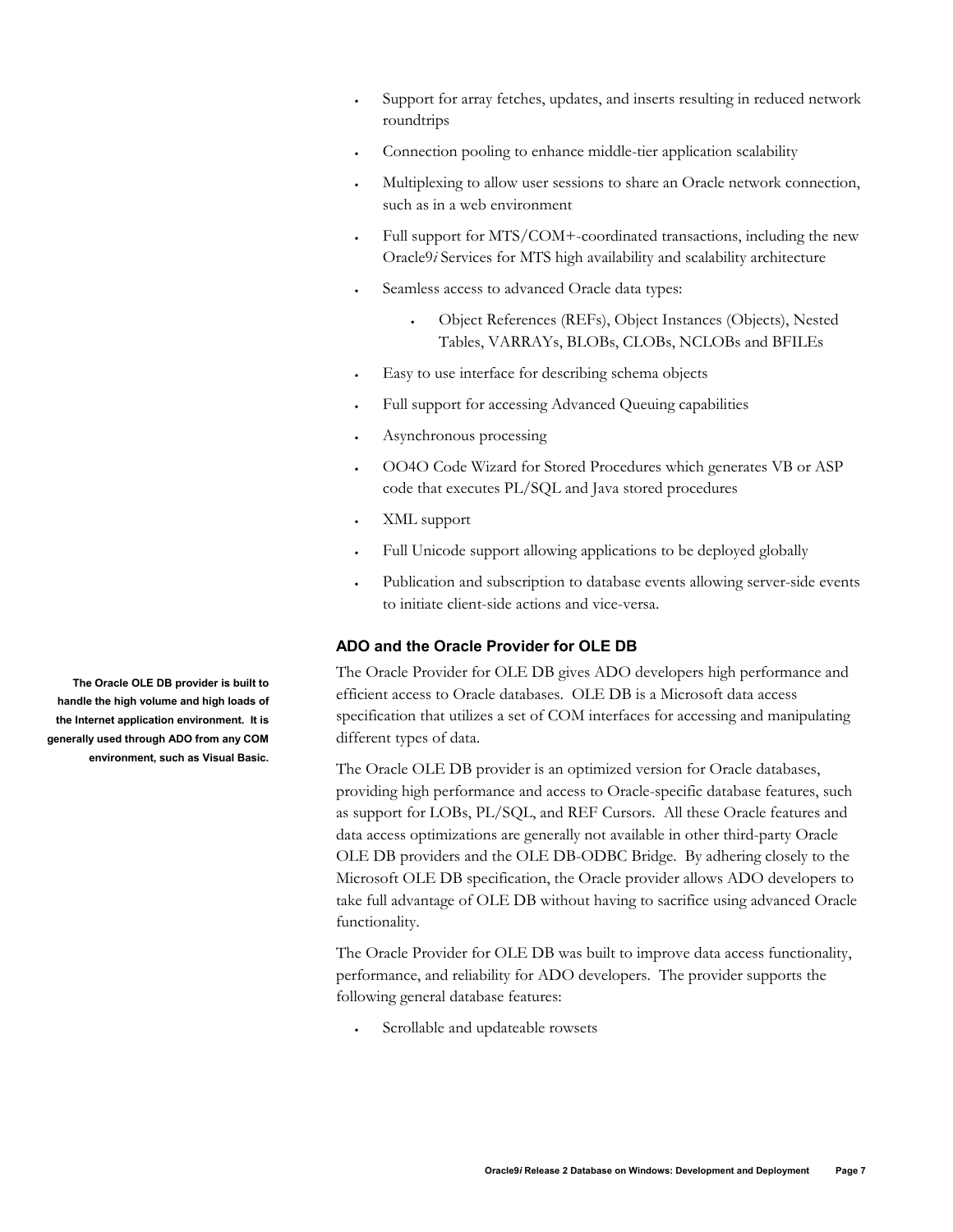- <span id="page-6-0"></span>Support for array fetches, updates, and inserts resulting in reduced network roundtrips
- Connection pooling to enhance middle-tier application scalability
- Multiplexing to allow user sessions to share an Oracle network connection, such as in a web environment
- Full support for MTS/COM+-coordinated transactions, including the new Oracle9*i* Services for MTS high availability and scalability architecture
- Seamless access to advanced Oracle data types:
	- Object References (REFs), Object Instances (Objects), Nested Tables, VARRAYs, BLOBs, CLOBs, NCLOBs and BFILEs
- Easy to use interface for describing schema objects
- Full support for accessing Advanced Queuing capabilities
- Asynchronous processing
- OO4O Code Wizard for Stored Procedures which generates VB or ASP code that executes PL/SQL and Java stored procedures
- XML support
- Full Unicode support allowing applications to be deployed globally
- Publication and subscription to database events allowing server-side events to initiate client-side actions and vice-versa.

## **ADO and the Oracle Provider for OLE DB**

The Oracle Provider for OLE DB gives ADO developers high performance and efficient access to Oracle databases. OLE DB is a Microsoft data access specification that utilizes a set of COM interfaces for accessing and manipulating different types of data.

The Oracle OLE DB provider is an optimized version for Oracle databases, providing high performance and access to Oracle-specific database features, such as support for LOBs, PL/SQL, and REF Cursors. All these Oracle features and data access optimizations are generally not available in other third-party Oracle OLE DB providers and the OLE DB-ODBC Bridge. By adhering closely to the Microsoft OLE DB specification, the Oracle provider allows ADO developers to take full advantage of OLE DB without having to sacrifice using advanced Oracle functionality.

The Oracle Provider for OLE DB was built to improve data access functionality, performance, and reliability for ADO developers. The provider supports the following general database features:

• Scrollable and updateable rowsets

**The Oracle OLE DB provider is built to handle the high volume and high loads of the Internet application environment. It is generally used through ADO from any COM environment, such as Visual Basic.**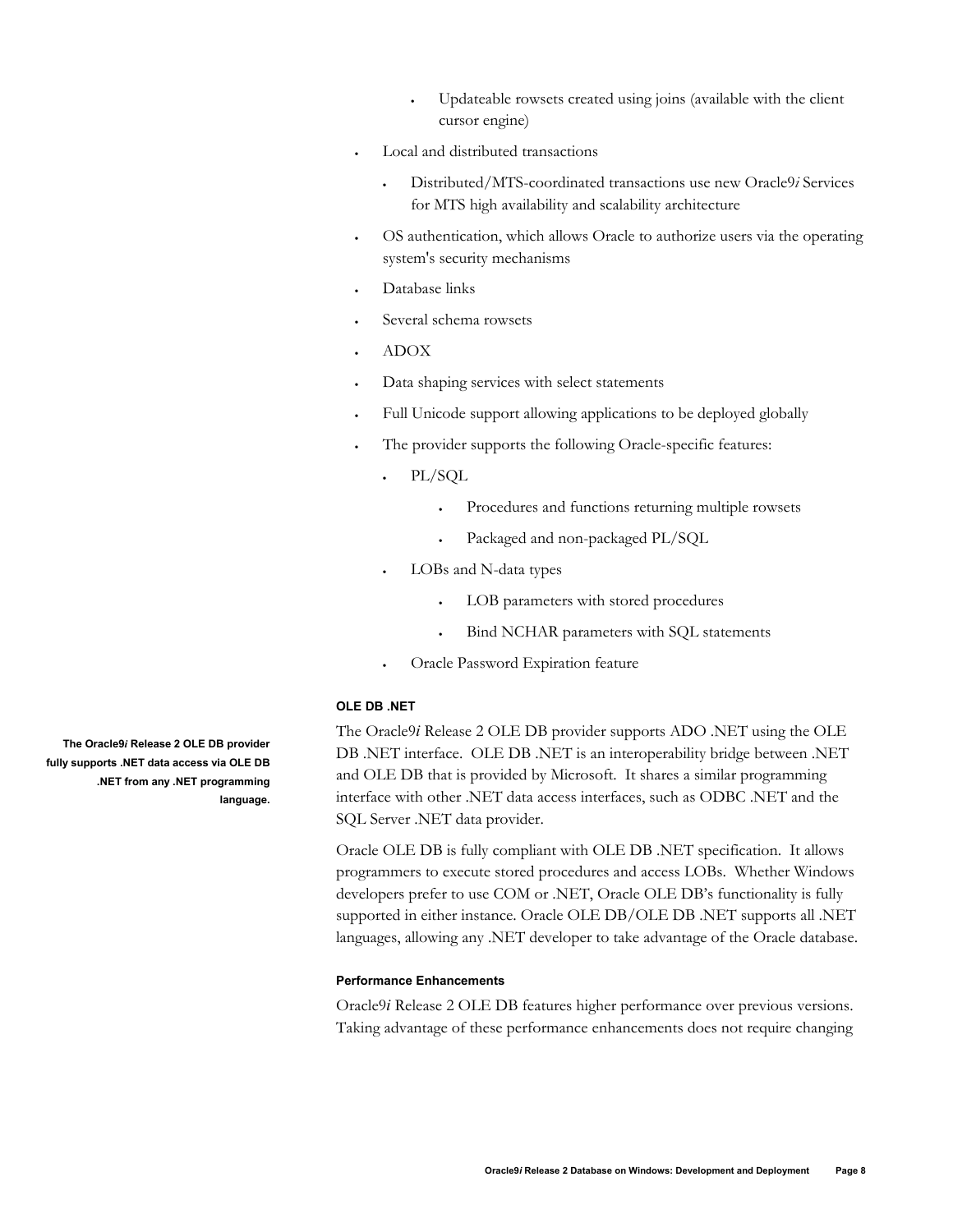- Updateable rowsets created using joins (available with the client cursor engine)
- <span id="page-7-0"></span>Local and distributed transactions
	- Distributed/MTS-coordinated transactions use new Oracle9*i* Services for MTS high availability and scalability architecture
- OS authentication, which allows Oracle to authorize users via the operating system's security mechanisms
- Database links
- Several schema rowsets
- ADOX
- Data shaping services with select statements
- Full Unicode support allowing applications to be deployed globally
- The provider supports the following Oracle-specific features:
	- PL/SQL
		- Procedures and functions returning multiple rowsets
		- Packaged and non-packaged PL/SQL
	- LOBs and N-data types
		- LOB parameters with stored procedures
		- Bind NCHAR parameters with SQL statements
	- Oracle Password Expiration feature

#### **OLE DB .NET**

The Oracle9*i* Release 2 OLE DB provider supports ADO .NET using the OLE DB .NET interface. OLE DB .NET is an interoperability bridge between .NET and OLE DB that is provided by Microsoft. It shares a similar programming interface with other .NET data access interfaces, such as ODBC .NET and the SQL Server .NET data provider.

Oracle OLE DB is fully compliant with OLE DB .NET specification. It allows programmers to execute stored procedures and access LOBs. Whether Windows developers prefer to use COM or .NET, Oracle OLE DB's functionality is fully supported in either instance. Oracle OLE DB/OLE DB .NET supports all .NET languages, allowing any .NET developer to take advantage of the Oracle database.

#### **Performance Enhancements**

Oracle9*i* Release 2 OLE DB features higher performance over previous versions. Taking advantage of these performance enhancements does not require changing

**The Oracle9***i* **Release 2 OLE DB provider fully supports .NET data access via OLE DB .NET from any .NET programming language.**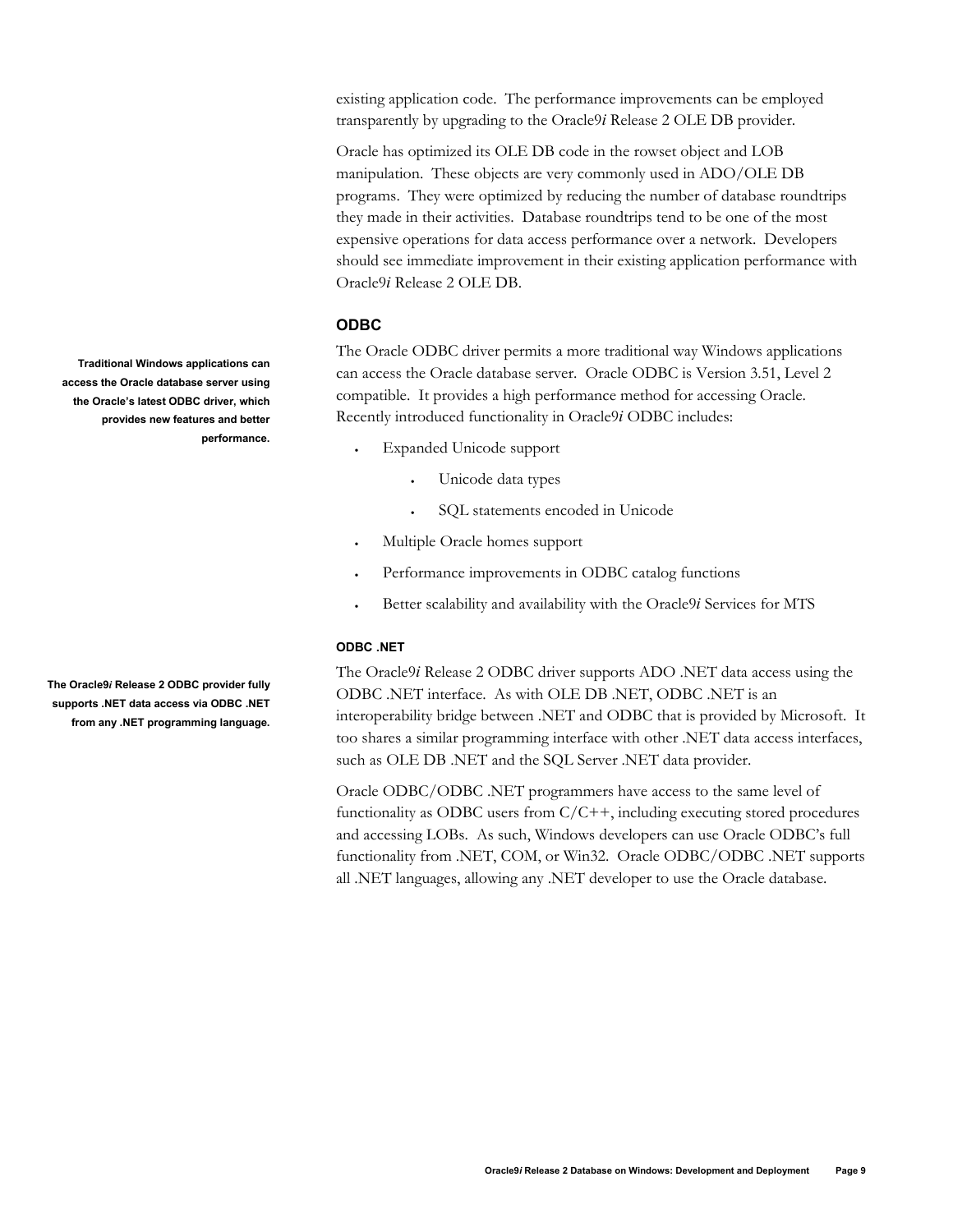<span id="page-8-0"></span>existing application code. The performance improvements can be employed transparently by upgrading to the Oracle9*i* Release 2 OLE DB provider.

Oracle has optimized its OLE DB code in the rowset object and LOB manipulation. These objects are very commonly used in ADO/OLE DB programs. They were optimized by reducing the number of database roundtrips they made in their activities. Database roundtrips tend to be one of the most expensive operations for data access performance over a network. Developers should see immediate improvement in their existing application performance with Oracle9*i* Release 2 OLE DB.

## **ODBC**

The Oracle ODBC driver permits a more traditional way Windows applications can access the Oracle database server. Oracle ODBC is Version 3.51, Level 2 compatible. It provides a high performance method for accessing Oracle. Recently introduced functionality in Oracle9*i* ODBC includes:

- Expanded Unicode support
	- Unicode data types
	- SQL statements encoded in Unicode
- Multiple Oracle homes support
- Performance improvements in ODBC catalog functions
- Better scalability and availability with the Oracle9*i* Services for MTS

#### **ODBC .NET**

The Oracle9*i* Release 2 ODBC driver supports ADO .NET data access using the ODBC .NET interface. As with OLE DB .NET, ODBC .NET is an interoperability bridge between .NET and ODBC that is provided by Microsoft. It too shares a similar programming interface with other .NET data access interfaces, such as OLE DB .NET and the SQL Server .NET data provider.

Oracle ODBC/ODBC .NET programmers have access to the same level of functionality as ODBC users from C/C++, including executing stored procedures and accessing LOBs. As such, Windows developers can use Oracle ODBC's full functionality from .NET, COM, or Win32. Oracle ODBC/ODBC .NET supports all .NET languages, allowing any .NET developer to use the Oracle database.

**Traditional Windows applications can access the Oracle database server using the Oracle's latest ODBC driver, which provides new features and better performance.** 

**The Oracle9***i* **Release 2 ODBC provider fully supports .NET data access via ODBC .NET from any .NET programming language.**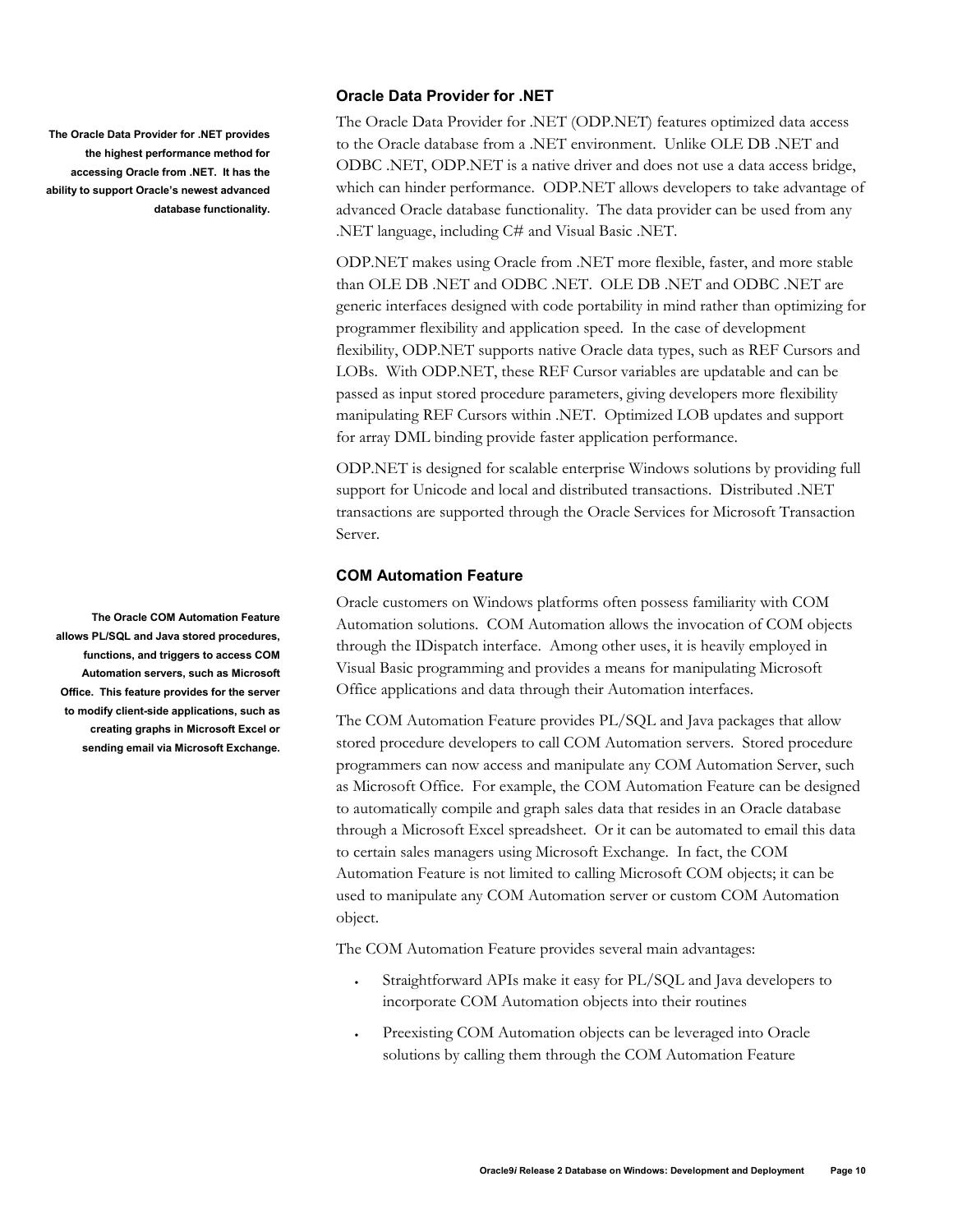<span id="page-9-0"></span>**The Oracle Data Provider for .NET provides the highest performance method for accessing Oracle from .NET. It has the ability to support Oracle's newest advanced database functionality.** 

**The Oracle COM Automation Feature allows PL/SQL and Java stored procedures, functions, and triggers to access COM Automation servers, such as Microsoft Office. This feature provides for the server to modify client-side applications, such as creating graphs in Microsoft Excel or sending email via Microsoft Exchange.** 

## **Oracle Data Provider for .NET**

The Oracle Data Provider for .NET (ODP.NET) features optimized data access to the Oracle database from a .NET environment. Unlike OLE DB .NET and ODBC .NET, ODP.NET is a native driver and does not use a data access bridge, which can hinder performance. ODP.NET allows developers to take advantage of advanced Oracle database functionality. The data provider can be used from any .NET language, including C# and Visual Basic .NET.

ODP.NET makes using Oracle from .NET more flexible, faster, and more stable than OLE DB .NET and ODBC .NET. OLE DB .NET and ODBC .NET are generic interfaces designed with code portability in mind rather than optimizing for programmer flexibility and application speed. In the case of development flexibility, ODP.NET supports native Oracle data types, such as REF Cursors and LOBs. With ODP.NET, these REF Cursor variables are updatable and can be passed as input stored procedure parameters, giving developers more flexibility manipulating REF Cursors within .NET. Optimized LOB updates and support for array DML binding provide faster application performance.

ODP.NET is designed for scalable enterprise Windows solutions by providing full support for Unicode and local and distributed transactions. Distributed .NET transactions are supported through the Oracle Services for Microsoft Transaction Server.

## **COM Automation Feature**

Oracle customers on Windows platforms often possess familiarity with COM Automation solutions. COM Automation allows the invocation of COM objects through the IDispatch interface. Among other uses, it is heavily employed in Visual Basic programming and provides a means for manipulating Microsoft Office applications and data through their Automation interfaces.

The COM Automation Feature provides PL/SQL and Java packages that allow stored procedure developers to call COM Automation servers. Stored procedure programmers can now access and manipulate any COM Automation Server, such as Microsoft Office. For example, the COM Automation Feature can be designed to automatically compile and graph sales data that resides in an Oracle database through a Microsoft Excel spreadsheet. Or it can be automated to email this data to certain sales managers using Microsoft Exchange. In fact, the COM Automation Feature is not limited to calling Microsoft COM objects; it can be used to manipulate any COM Automation server or custom COM Automation object.

The COM Automation Feature provides several main advantages:

- Straightforward APIs make it easy for PL/SQL and Java developers to incorporate COM Automation objects into their routines
- Preexisting COM Automation objects can be leveraged into Oracle solutions by calling them through the COM Automation Feature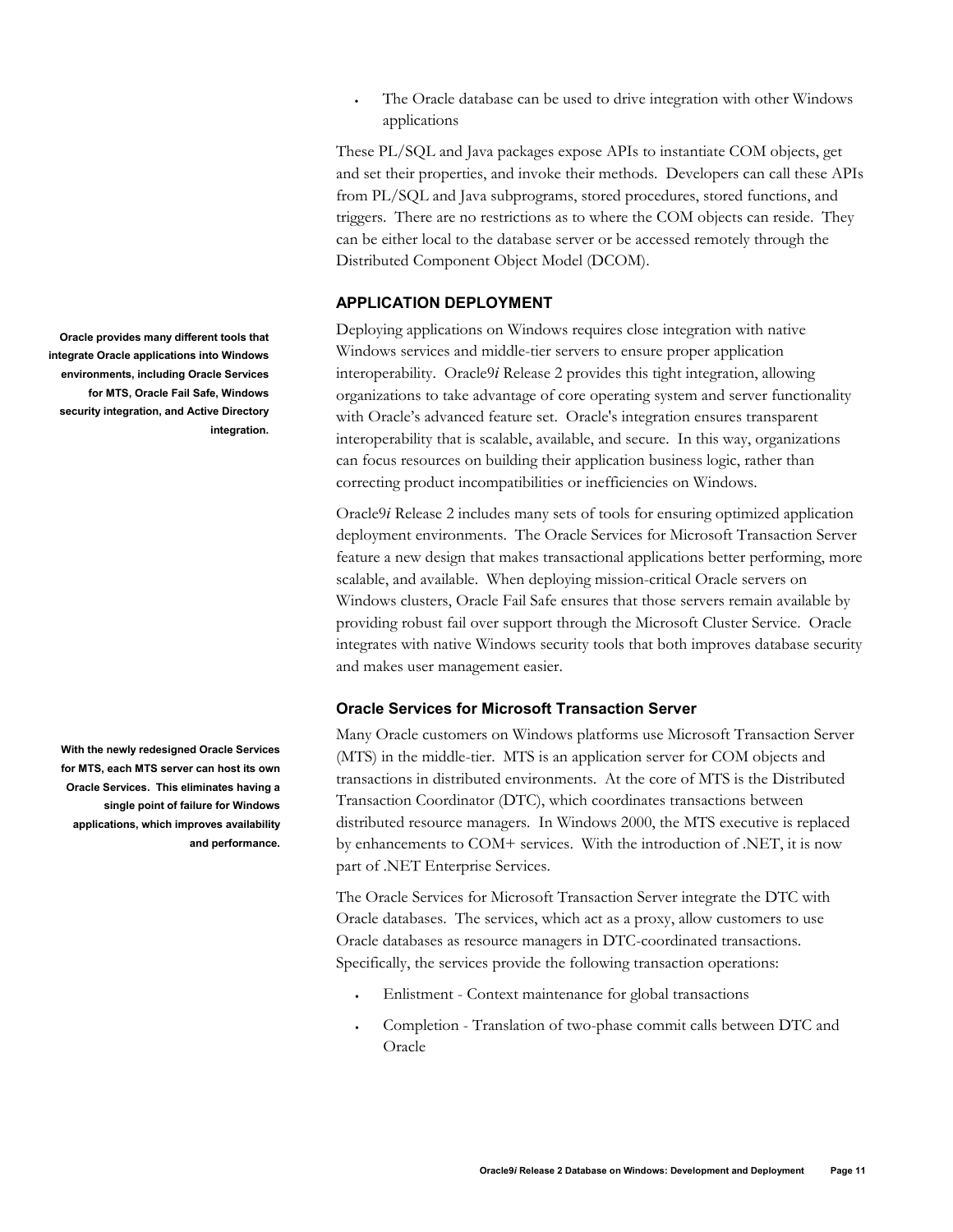The Oracle database can be used to drive integration with other Windows applications

These PL/SQL and Java packages expose APIs to instantiate COM objects, get and set their properties, and invoke their methods. Developers can call these APIs from PL/SQL and Java subprograms, stored procedures, stored functions, and triggers. There are no restrictions as to where the COM objects can reside. They can be either local to the database server or be accessed remotely through the Distributed Component Object Model (DCOM).

## **APPLICATION DEPLOYMENT**

Deploying applications on Windows requires close integration with native Windows services and middle-tier servers to ensure proper application interoperability. Oracle9*i* Release 2 provides this tight integration, allowing organizations to take advantage of core operating system and server functionality with Oracle's advanced feature set. Oracle's integration ensures transparent interoperability that is scalable, available, and secure. In this way, organizations can focus resources on building their application business logic, rather than correcting product incompatibilities or inefficiencies on Windows.

Oracle9*i* Release 2 includes many sets of tools for ensuring optimized application deployment environments. The Oracle Services for Microsoft Transaction Server feature a new design that makes transactional applications better performing, more scalable, and available. When deploying mission-critical Oracle servers on Windows clusters, Oracle Fail Safe ensures that those servers remain available by providing robust fail over support through the Microsoft Cluster Service. Oracle integrates with native Windows security tools that both improves database security and makes user management easier.

## **Oracle Services for Microsoft Transaction Server**

Many Oracle customers on Windows platforms use Microsoft Transaction Server (MTS) in the middle-tier. MTS is an application server for COM objects and transactions in distributed environments. At the core of MTS is the Distributed Transaction Coordinator (DTC), which coordinates transactions between distributed resource managers. In Windows 2000, the MTS executive is replaced by enhancements to COM+ services. With the introduction of .NET, it is now part of .NET Enterprise Services.

The Oracle Services for Microsoft Transaction Server integrate the DTC with Oracle databases. The services, which act as a proxy, allow customers to use Oracle databases as resource managers in DTC-coordinated transactions. Specifically, the services provide the following transaction operations:

- Enlistment Context maintenance for global transactions
- Completion Translation of two-phase commit calls between DTC and Oracle

<span id="page-10-0"></span>**Oracle provides many different tools that integrate Oracle applications into Windows environments, including Oracle Services for MTS, Oracle Fail Safe, Windows security integration, and Active Directory integration.** 

**With the newly redesigned Oracle Services for MTS, each MTS server can host its own Oracle Services. This eliminates having a single point of failure for Windows applications, which improves availability and performance.**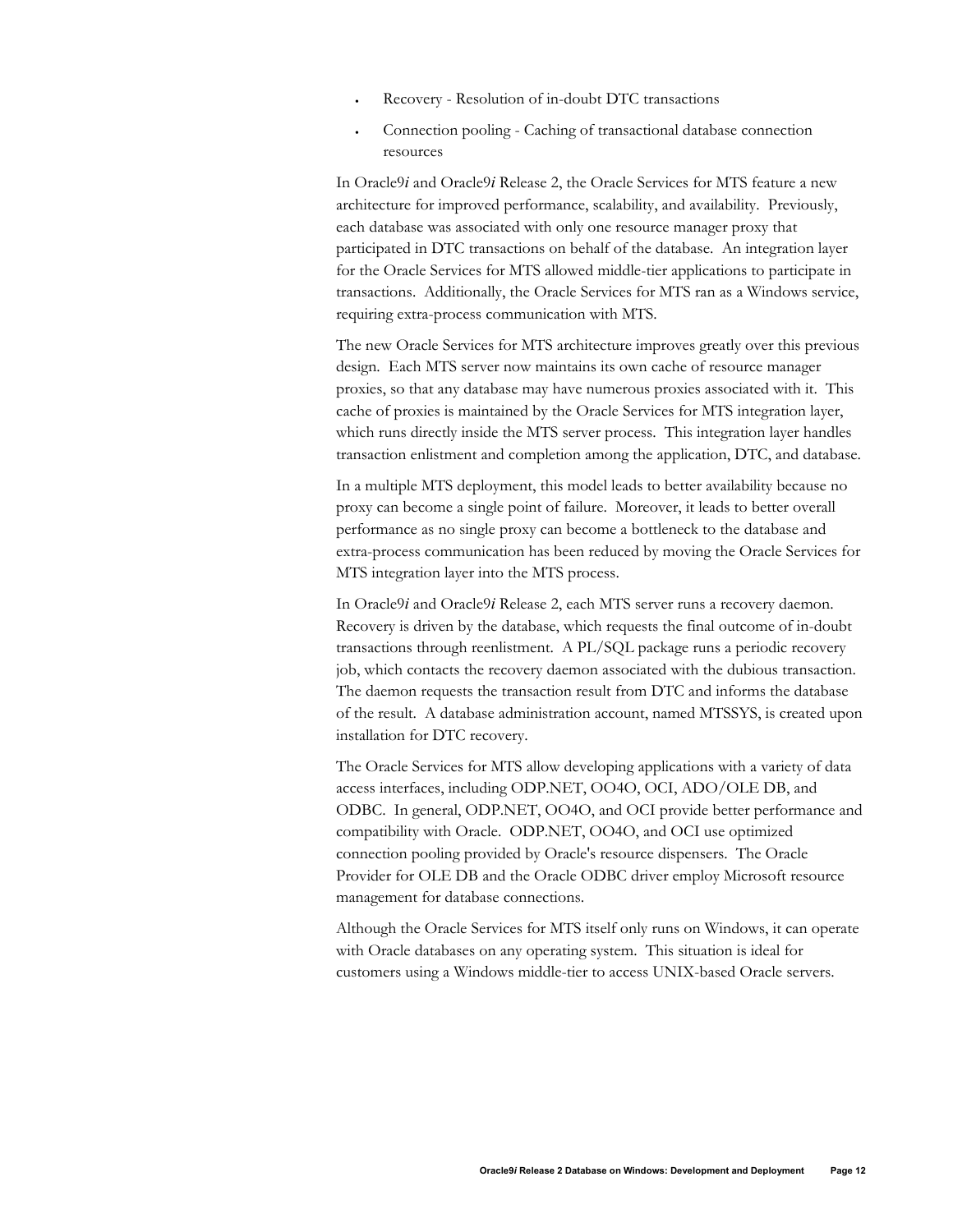- Recovery Resolution of in-doubt DTC transactions
- Connection pooling Caching of transactional database connection resources

In Oracle9*i* and Oracle9*i* Release 2, the Oracle Services for MTS feature a new architecture for improved performance, scalability, and availability. Previously, each database was associated with only one resource manager proxy that participated in DTC transactions on behalf of the database. An integration layer for the Oracle Services for MTS allowed middle-tier applications to participate in transactions. Additionally, the Oracle Services for MTS ran as a Windows service, requiring extra-process communication with MTS.

The new Oracle Services for MTS architecture improves greatly over this previous design. Each MTS server now maintains its own cache of resource manager proxies, so that any database may have numerous proxies associated with it. This cache of proxies is maintained by the Oracle Services for MTS integration layer, which runs directly inside the MTS server process. This integration layer handles transaction enlistment and completion among the application, DTC, and database.

In a multiple MTS deployment, this model leads to better availability because no proxy can become a single point of failure. Moreover, it leads to better overall performance as no single proxy can become a bottleneck to the database and extra-process communication has been reduced by moving the Oracle Services for MTS integration layer into the MTS process.

In Oracle9*i* and Oracle9*i* Release 2, each MTS server runs a recovery daemon. Recovery is driven by the database, which requests the final outcome of in-doubt transactions through reenlistment. A PL/SQL package runs a periodic recovery job, which contacts the recovery daemon associated with the dubious transaction. The daemon requests the transaction result from DTC and informs the database of the result. A database administration account, named MTSSYS, is created upon installation for DTC recovery.

The Oracle Services for MTS allow developing applications with a variety of data access interfaces, including ODP.NET, OO4O, OCI, ADO/OLE DB, and ODBC. In general, ODP.NET, OO4O, and OCI provide better performance and compatibility with Oracle. ODP.NET, OO4O, and OCI use optimized connection pooling provided by Oracle's resource dispensers. The Oracle Provider for OLE DB and the Oracle ODBC driver employ Microsoft resource management for database connections.

Although the Oracle Services for MTS itself only runs on Windows, it can operate with Oracle databases on any operating system. This situation is ideal for customers using a Windows middle-tier to access UNIX-based Oracle servers.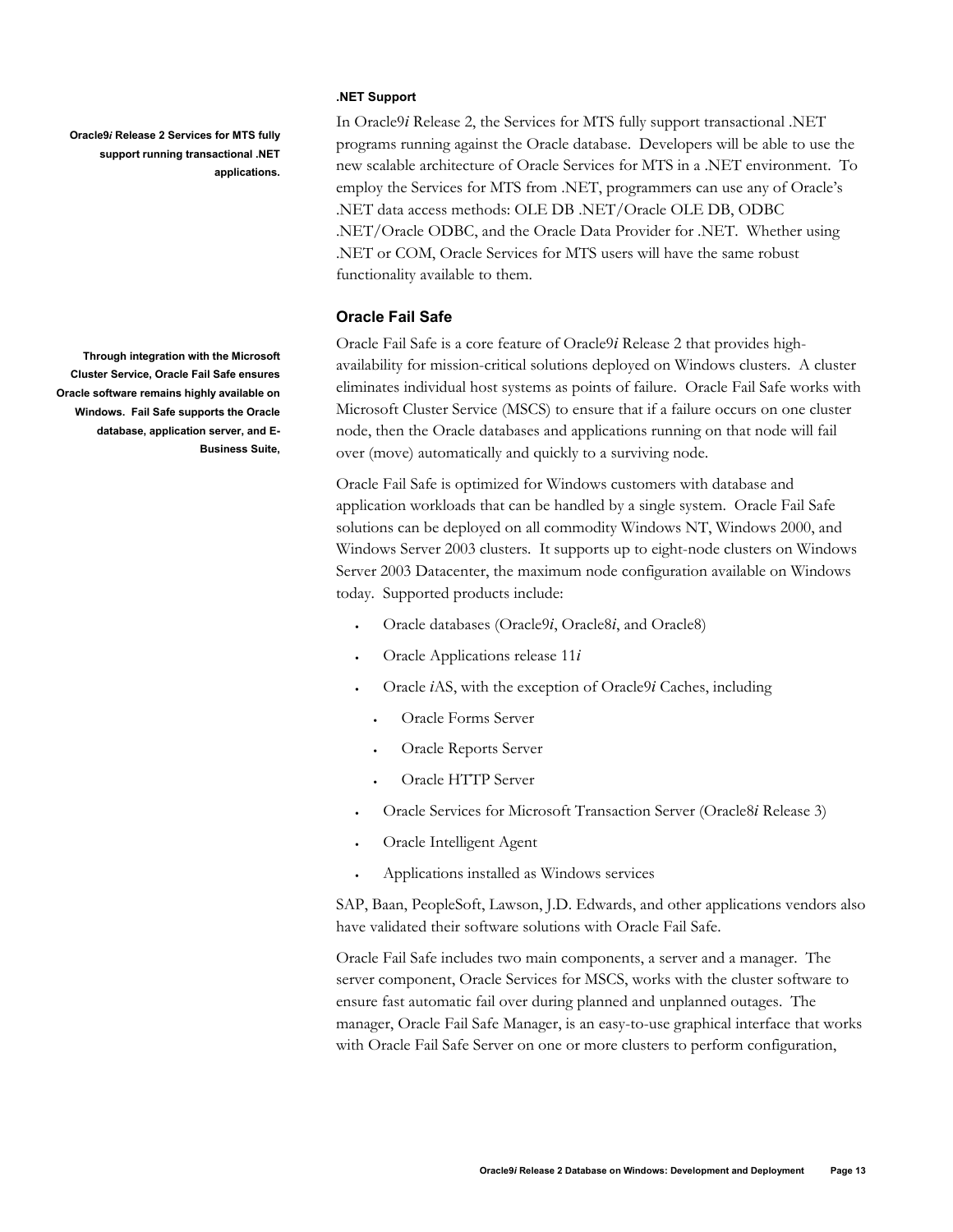<span id="page-12-0"></span>**Oracle9***i* **Release 2 Services for MTS fully support running transactional .NET applications.** 

**Through integration with the Microsoft Cluster Service, Oracle Fail Safe ensures Oracle software remains highly available on Windows. Fail Safe supports the Oracle database, application server, and E-Business Suite,** 

#### **.NET Support**

In Oracle9*i* Release 2, the Services for MTS fully support transactional .NET programs running against the Oracle database. Developers will be able to use the new scalable architecture of Oracle Services for MTS in a .NET environment. To employ the Services for MTS from .NET, programmers can use any of Oracle's .NET data access methods: OLE DB .NET/Oracle OLE DB, ODBC .NET/Oracle ODBC, and the Oracle Data Provider for .NET. Whether using .NET or COM, Oracle Services for MTS users will have the same robust functionality available to them.

## **Oracle Fail Safe**

Oracle Fail Safe is a core feature of Oracle9*i* Release 2 that provides highavailability for mission-critical solutions deployed on Windows clusters. A cluster eliminates individual host systems as points of failure. Oracle Fail Safe works with Microsoft Cluster Service (MSCS) to ensure that if a failure occurs on one cluster node, then the Oracle databases and applications running on that node will fail over (move) automatically and quickly to a surviving node.

Oracle Fail Safe is optimized for Windows customers with database and application workloads that can be handled by a single system. Oracle Fail Safe solutions can be deployed on all commodity Windows NT, Windows 2000, and Windows Server 2003 clusters. It supports up to eight-node clusters on Windows Server 2003 Datacenter, the maximum node configuration available on Windows today. Supported products include:

- Oracle databases (Oracle9*i*, Oracle8*i*, and Oracle8)
- Oracle Applications release 11*i*
- Oracle *i*AS, with the exception of Oracle9*i* Caches, including
	- Oracle Forms Server
	- Oracle Reports Server
	- Oracle HTTP Server
- Oracle Services for Microsoft Transaction Server (Oracle8*i* Release 3)
- Oracle Intelligent Agent
- Applications installed as Windows services

SAP, Baan, PeopleSoft, Lawson, J.D. Edwards, and other applications vendors also have validated their software solutions with Oracle Fail Safe.

Oracle Fail Safe includes two main components, a server and a manager. The server component, Oracle Services for MSCS, works with the cluster software to ensure fast automatic fail over during planned and unplanned outages. The manager, Oracle Fail Safe Manager, is an easy-to-use graphical interface that works with Oracle Fail Safe Server on one or more clusters to perform configuration,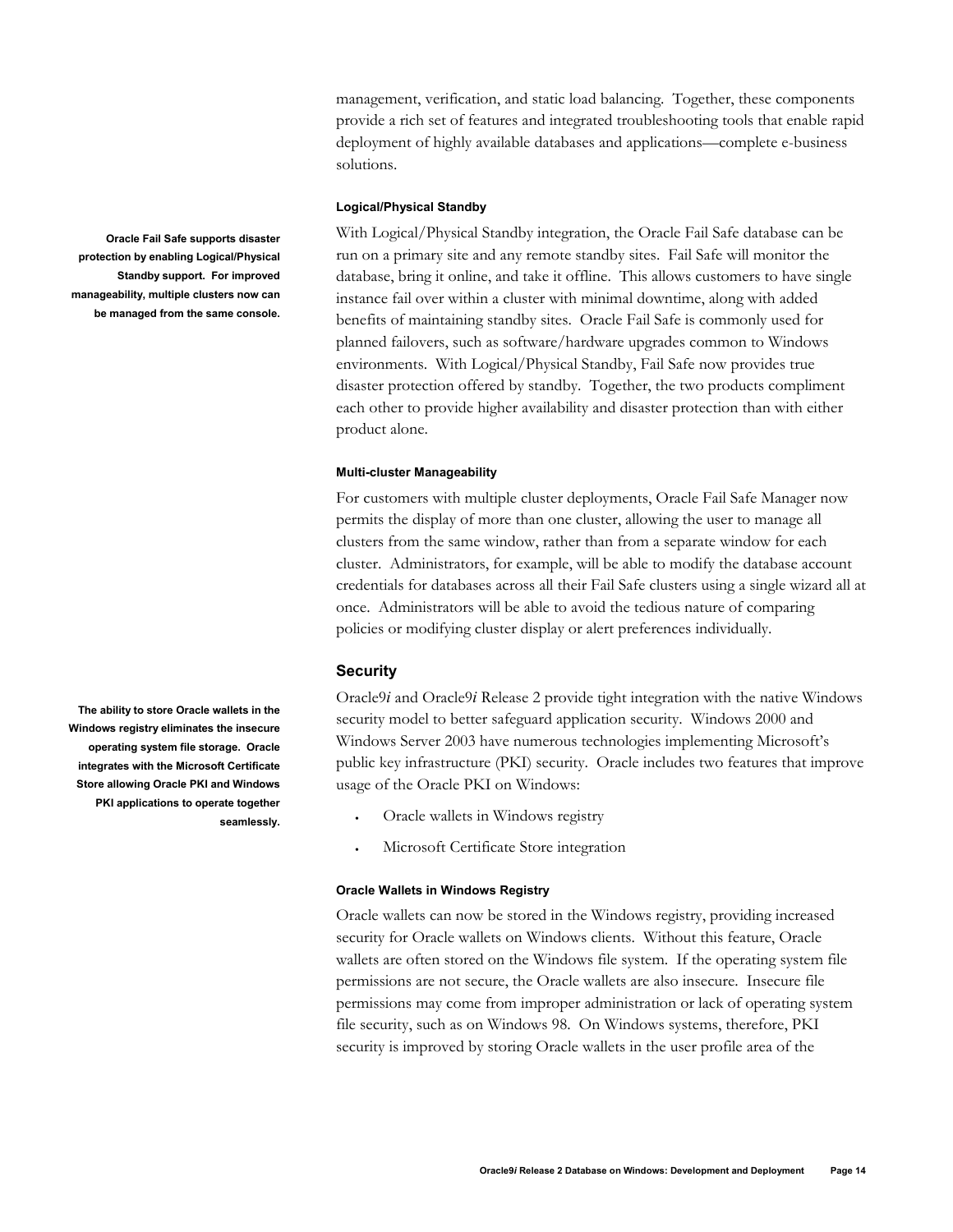management, verification, and static load balancing. Together, these components provide a rich set of features and integrated troubleshooting tools that enable rapid deployment of highly available databases and applications—complete e-business solutions.

#### **Logical/Physical Standby**

With Logical/Physical Standby integration, the Oracle Fail Safe database can be run on a primary site and any remote standby sites. Fail Safe will monitor the database, bring it online, and take it offline. This allows customers to have single instance fail over within a cluster with minimal downtime, along with added benefits of maintaining standby sites. Oracle Fail Safe is commonly used for planned failovers, such as software/hardware upgrades common to Windows environments. With Logical/Physical Standby, Fail Safe now provides true disaster protection offered by standby. Together, the two products compliment each other to provide higher availability and disaster protection than with either product alone.

#### **Multi-cluster Manageability**

For customers with multiple cluster deployments, Oracle Fail Safe Manager now permits the display of more than one cluster, allowing the user to manage all clusters from the same window, rather than from a separate window for each cluster. Administrators, for example, will be able to modify the database account credentials for databases across all their Fail Safe clusters using a single wizard all at once. Administrators will be able to avoid the tedious nature of comparing policies or modifying cluster display or alert preferences individually.

## **Security**

Oracle9*i* and Oracle9*i* Release 2 provide tight integration with the native Windows security model to better safeguard application security. Windows 2000 and Windows Server 2003 have numerous technologies implementing Microsoft's public key infrastructure (PKI) security. Oracle includes two features that improve usage of the Oracle PKI on Windows:

- Oracle wallets in Windows registry
- Microsoft Certificate Store integration

## **Oracle Wallets in Windows Registry**

Oracle wallets can now be stored in the Windows registry, providing increased security for Oracle wallets on Windows clients. Without this feature, Oracle wallets are often stored on the Windows file system. If the operating system file permissions are not secure, the Oracle wallets are also insecure. Insecure file permissions may come from improper administration or lack of operating system file security, such as on Windows 98. On Windows systems, therefore, PKI security is improved by storing Oracle wallets in the user profile area of the

<span id="page-13-0"></span>**Oracle Fail Safe supports disaster protection by enabling Logical/Physical Standby support. For improved manageability, multiple clusters now can be managed from the same console.** 

**The ability to store Oracle wallets in the Windows registry eliminates the insecure operating system file storage. Oracle integrates with the Microsoft Certificate Store allowing Oracle PKI and Windows PKI applications to operate together seamlessly.**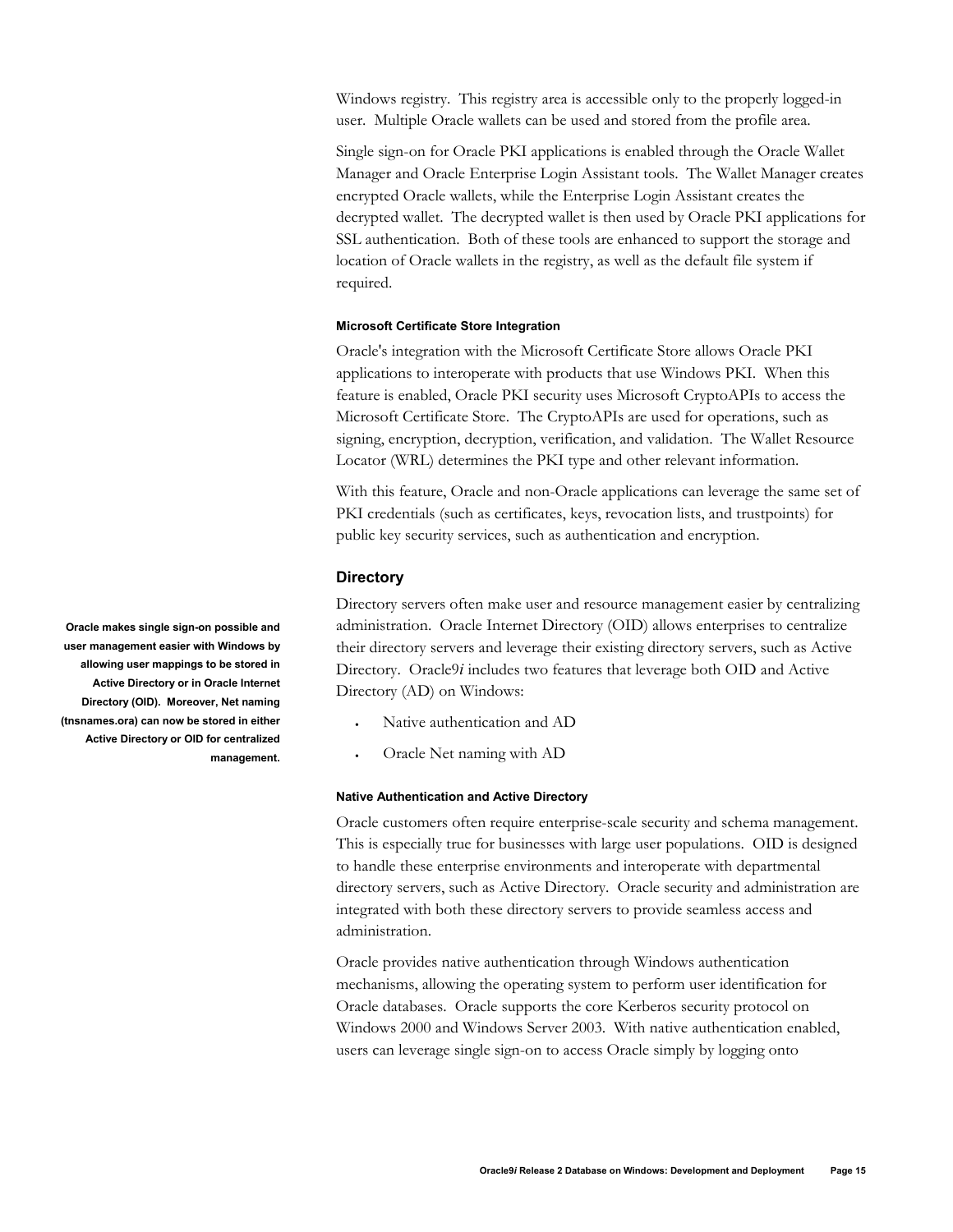<span id="page-14-0"></span>Windows registry. This registry area is accessible only to the properly logged-in user. Multiple Oracle wallets can be used and stored from the profile area.

Single sign-on for Oracle PKI applications is enabled through the Oracle Wallet Manager and Oracle Enterprise Login Assistant tools. The Wallet Manager creates encrypted Oracle wallets, while the Enterprise Login Assistant creates the decrypted wallet. The decrypted wallet is then used by Oracle PKI applications for SSL authentication. Both of these tools are enhanced to support the storage and location of Oracle wallets in the registry, as well as the default file system if required.

#### **Microsoft Certificate Store Integration**

Oracle's integration with the Microsoft Certificate Store allows Oracle PKI applications to interoperate with products that use Windows PKI. When this feature is enabled, Oracle PKI security uses Microsoft CryptoAPIs to access the Microsoft Certificate Store. The CryptoAPIs are used for operations, such as signing, encryption, decryption, verification, and validation. The Wallet Resource Locator (WRL) determines the PKI type and other relevant information.

With this feature, Oracle and non-Oracle applications can leverage the same set of PKI credentials (such as certificates, keys, revocation lists, and trustpoints) for public key security services, such as authentication and encryption.

#### **Directory**

Directory servers often make user and resource management easier by centralizing administration. Oracle Internet Directory (OID) allows enterprises to centralize their directory servers and leverage their existing directory servers, such as Active Directory. Oracle9*i* includes two features that leverage both OID and Active Directory (AD) on Windows:

- Native authentication and AD
- Oracle Net naming with AD

#### **Native Authentication and Active Directory**

Oracle customers often require enterprise-scale security and schema management. This is especially true for businesses with large user populations. OID is designed to handle these enterprise environments and interoperate with departmental directory servers, such as Active Directory. Oracle security and administration are integrated with both these directory servers to provide seamless access and administration.

Oracle provides native authentication through Windows authentication mechanisms, allowing the operating system to perform user identification for Oracle databases. Oracle supports the core Kerberos security protocol on Windows 2000 and Windows Server 2003. With native authentication enabled, users can leverage single sign-on to access Oracle simply by logging onto

**Oracle makes single sign-on possible and user management easier with Windows by allowing user mappings to be stored in Active Directory or in Oracle Internet Directory (OID). Moreover, Net naming (tnsnames.ora) can now be stored in either Active Directory or OID for centralized management.**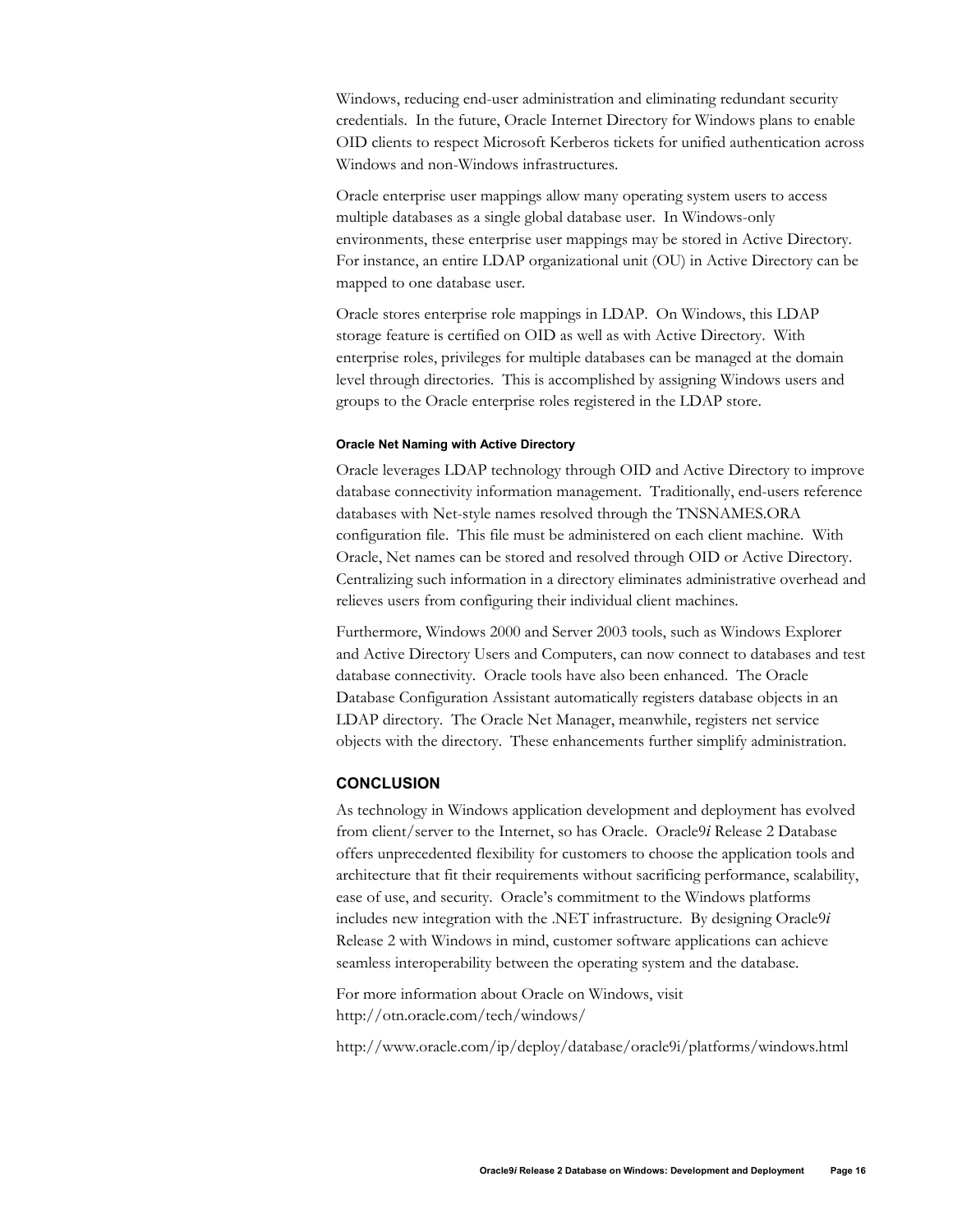<span id="page-15-0"></span>Windows, reducing end-user administration and eliminating redundant security credentials. In the future, Oracle Internet Directory for Windows plans to enable OID clients to respect Microsoft Kerberos tickets for unified authentication across Windows and non-Windows infrastructures.

Oracle enterprise user mappings allow many operating system users to access multiple databases as a single global database user. In Windows-only environments, these enterprise user mappings may be stored in Active Directory. For instance, an entire LDAP organizational unit (OU) in Active Directory can be mapped to one database user.

Oracle stores enterprise role mappings in LDAP. On Windows, this LDAP storage feature is certified on OID as well as with Active Directory. With enterprise roles, privileges for multiple databases can be managed at the domain level through directories. This is accomplished by assigning Windows users and groups to the Oracle enterprise roles registered in the LDAP store.

#### **Oracle Net Naming with Active Directory**

Oracle leverages LDAP technology through OID and Active Directory to improve database connectivity information management. Traditionally, end-users reference databases with Net-style names resolved through the TNSNAMES.ORA configuration file. This file must be administered on each client machine. With Oracle, Net names can be stored and resolved through OID or Active Directory. Centralizing such information in a directory eliminates administrative overhead and relieves users from configuring their individual client machines.

Furthermore, Windows 2000 and Server 2003 tools, such as Windows Explorer and Active Directory Users and Computers, can now connect to databases and test database connectivity. Oracle tools have also been enhanced. The Oracle Database Configuration Assistant automatically registers database objects in an LDAP directory. The Oracle Net Manager, meanwhile, registers net service objects with the directory. These enhancements further simplify administration.

## **CONCLUSION**

As technology in Windows application development and deployment has evolved from client/server to the Internet, so has Oracle. Oracle9*i* Release 2 Database offers unprecedented flexibility for customers to choose the application tools and architecture that fit their requirements without sacrificing performance, scalability, ease of use, and security. Oracle's commitment to the Windows platforms includes new integration with the .NET infrastructure. By designing Oracle9*i* Release 2 with Windows in mind, customer software applications can achieve seamless interoperability between the operating system and the database.

For more information about Oracle on Windows, visit http://otn.oracle.com/tech/windows/

http://www.oracle.com/ip/deploy/database/oracle9i/platforms/windows.html